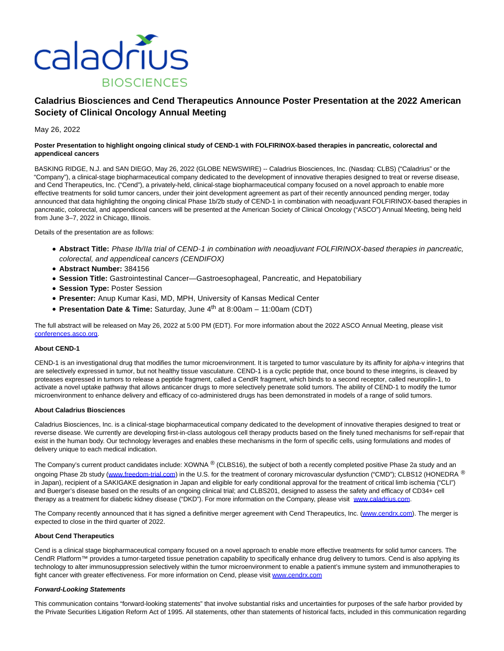

# **Caladrius Biosciences and Cend Therapeutics Announce Poster Presentation at the 2022 American Society of Clinical Oncology Annual Meeting**

May 26, 2022

## **Poster Presentation to highlight ongoing clinical study of CEND-1 with FOLFIRINOX-based therapies in pancreatic, colorectal and appendiceal cancers**

BASKING RIDGE, N.J. and SAN DIEGO, May 26, 2022 (GLOBE NEWSWIRE) -- Caladrius Biosciences, Inc. (Nasdaq: CLBS) ("Caladrius" or the "Company"), a clinical-stage biopharmaceutical company dedicated to the development of innovative therapies designed to treat or reverse disease, and Cend Therapeutics, Inc. ("Cend"), a privately-held, clinical-stage biopharmaceutical company focused on a novel approach to enable more effective treatments for solid tumor cancers, under their joint development agreement as part of their recently announced pending merger, today announced that data highlighting the ongoing clinical Phase 1b/2b study of CEND-1 in combination with neoadjuvant FOLFIRINOX-based therapies in pancreatic, colorectal, and appendiceal cancers will be presented at the American Society of Clinical Oncology ("ASCO") Annual Meeting, being held from June 3–7, 2022 in Chicago, Illinois.

Details of the presentation are as follows:

- **Abstract Title:** Phase Ib/IIa trial of CEND*-*1 in combination with neoadjuvant FOLFIRINOX-based therapies in pancreatic, colorectal, and appendiceal cancers (CENDIFOX)
- **Abstract Number:** 384156
- **Session Title:** Gastrointestinal Cancer—Gastroesophageal, Pancreatic, and Hepatobiliary
- **Session Type: Poster Session**
- **Presenter:** Anup Kumar Kasi, MD, MPH, University of Kansas Medical Center
- **Presentation Date & Time:** Saturday, June 4<sup>th</sup> at 8:00am 11:00am (CDT)

The full abstract will be released on May 26, 2022 at 5:00 PM (EDT). For more information about the 2022 ASCO Annual Meeting, please visit [conferences.asco.org.](https://www.globenewswire.com/Tracker?data=HyGCCZF1r8lcl4dDnmzAfvt9a3HX2u8K7ukLb7VQ6Um9slavzb615s9QTQVKXJIXpzoSUiZL5Th3YcQEYFNR5We8_xmtot1O3YVIdQJMIVg=)

### **About CEND-1**

CEND-1 is an investigational drug that modifies the tumor microenvironment. It is targeted to tumor vasculature by its affinity for alpha-v integrins that are selectively expressed in tumor, but not healthy tissue vasculature. CEND-1 is a cyclic peptide that, once bound to these integrins, is cleaved by proteases expressed in tumors to release a peptide fragment, called a CendR fragment, which binds to a second receptor, called neuropilin-1, to activate a novel uptake pathway that allows anticancer drugs to more selectively penetrate solid tumors. The ability of CEND-1 to modify the tumor microenvironment to enhance delivery and efficacy of co-administered drugs has been demonstrated in models of a range of solid tumors.

### **About Caladrius Biosciences**

Caladrius Biosciences, Inc. is a clinical-stage biopharmaceutical company dedicated to the development of innovative therapies designed to treat or reverse disease. We currently are developing first-in-class autologous cell therapy products based on the finely tuned mechanisms for self-repair that exist in the human body. Our technology leverages and enables these mechanisms in the form of specific cells, using formulations and modes of delivery unique to each medical indication.

The Company's current product candidates include: XOWNA ® (CLBS16), the subject of both a recently completed positive Phase 2a study and an ongoing Phase 2b study [\(www.freedom-trial.com\)](https://www.globenewswire.com/Tracker?data=G0r0lZxTBKNoAw-Y4pRFkLwPqG6rbbxakUcStuvufe1Q9l-6Q71qR6CJ8-iduE_CTr4Fjjlet8yBJg3RX6D-rIJSt_L5HI-qXobr1NWIpGQ=) in the U.S. for the treatment of coronary microvascular dysfunction ("CMD"); CLBS12 (HONEDRA ® in Japan), recipient of a SAKIGAKE designation in Japan and eligible for early conditional approval for the treatment of critical limb ischemia ("CLI") and Buerger's disease based on the results of an ongoing clinical trial; and CLBS201, designed to assess the safety and efficacy of CD34+ cell therapy as a treatment for diabetic kidney disease ("DKD"). For more information on the Company, please visit [www.caladrius.com.](https://www.globenewswire.com/Tracker?data=Mkr_YgMfX3JxpPZMf4yOdbEuiZaZ1bVbpj0YjReCMXq8EKHqM1q9C9tisgzOkBOjTmYcjSCCZwOegyuQESMVbw==)

The Company recently announced that it has signed a definitive merger agreement with Cend Therapeutics, Inc. [\(www.cendrx.com\).](https://www.globenewswire.com/Tracker?data=Sdc0Hy4vfgnrLqXnWCaXcDTSDEb3uiciEEZ2geDzeGD7VGN0a7bB-yUXNaV0_AR4z9q7aDUfCbDh776aX8CqPQ==) The merger is expected to close in the third quarter of 2022.

## **About Cend Therapeutics**

Cend is a clinical stage biopharmaceutical company focused on a novel approach to enable more effective treatments for solid tumor cancers. The CendR Platform™ provides a tumor-targeted tissue penetration capability to specifically enhance drug delivery to tumors. Cend is also applying its technology to alter immunosuppression selectively within the tumor microenvironment to enable a patient's immune system and immunotherapies to fight cancer with greater effectiveness. For more information on Cend, please visit www.cendrx.com

## **Forward-Looking Statements**

This communication contains "forward-looking statements" that involve substantial risks and uncertainties for purposes of the safe harbor provided by the Private Securities Litigation Reform Act of 1995. All statements, other than statements of historical facts, included in this communication regarding